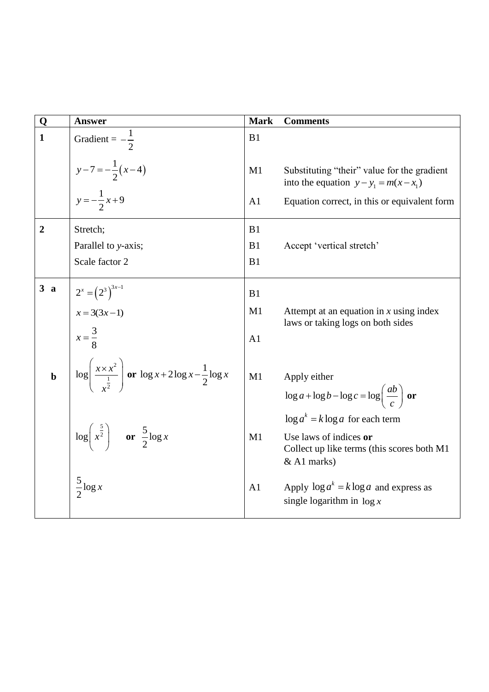| Q              | <b>Answer</b>                                                                                             | <b>Mark</b>    | <b>Comments</b>                                                                                                            |
|----------------|-----------------------------------------------------------------------------------------------------------|----------------|----------------------------------------------------------------------------------------------------------------------------|
| $\mathbf{1}$   | Gradient = $-\frac{1}{2}$                                                                                 | B1             |                                                                                                                            |
|                | $y-7=-\frac{1}{2}(x-4)$                                                                                   | M1             | Substituting "their" value for the gradient<br>into the equation $y - y_1 = m(x - x_1)$                                    |
|                | $y = -\frac{1}{2}x + 9$                                                                                   | A <sub>1</sub> | Equation correct, in this or equivalent form                                                                               |
| $\overline{2}$ | Stretch;                                                                                                  | B1             |                                                                                                                            |
|                | Parallel to y-axis;                                                                                       | B1             | Accept 'vertical stretch'                                                                                                  |
|                | Scale factor 2                                                                                            | B1             |                                                                                                                            |
| 3a             | $2^{x} = (2^{3})^{3x-1}$                                                                                  | B1             |                                                                                                                            |
|                | $x = 3(3x-1)$<br>$x = \frac{3}{8}$                                                                        | M1             | Attempt at an equation in $x$ using index<br>laws or taking logs on both sides                                             |
|                |                                                                                                           | A1             |                                                                                                                            |
| $\mathbf b$    | $\log \left( \frac{x \times x^2}{\frac{1}{\sqrt{2}}} \right)$ or $\log x + 2 \log x - \frac{1}{2} \log x$ | M1             | Apply either<br>$\log a + \log b - \log c = \log \left( \frac{ab}{c} \right)$ or                                           |
|                | $\log\left(x^{\frac{5}{2}}\right)$ or $\frac{5}{2}\log x$                                                 | M1             | $\log a^k = k \log a$ for each term<br>Use laws of indices or<br>Collect up like terms (this scores both M1<br>& A1 marks) |
|                | $\frac{5}{2} \log x$                                                                                      | A1             | Apply $\log a^k = k \log a$ and express as<br>single logarithm in $\log x$                                                 |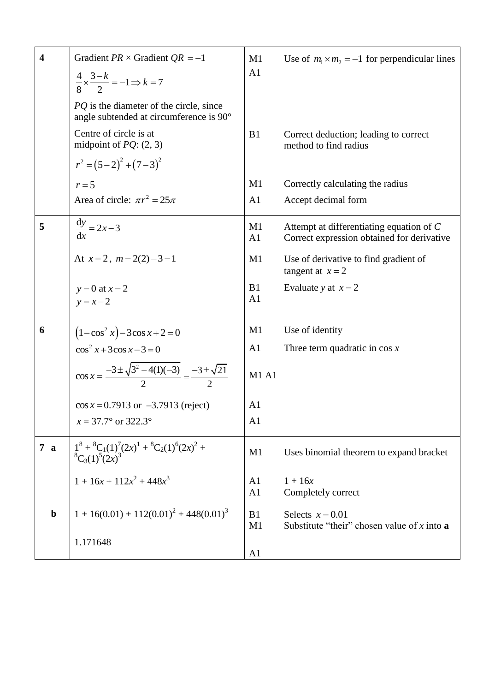| $\overline{\mathbf{4}}$ | Gradient $PR \times$ Gradient $QR = -1$<br>$\frac{4}{8} \times \frac{3-k}{2} = -1 \Rightarrow k = 7$<br>PQ is the diameter of the circle, since<br>angle subtended at circumference is 90° | M1<br>A1                         | Use of $m_1 \times m_2 = -1$ for perpendicular lines                                   |
|-------------------------|--------------------------------------------------------------------------------------------------------------------------------------------------------------------------------------------|----------------------------------|----------------------------------------------------------------------------------------|
|                         | Centre of circle is at<br>midpoint of $PQ$ : (2, 3)                                                                                                                                        | B1                               | Correct deduction; leading to correct<br>method to find radius                         |
|                         | $r^{2} = (5-2)^{2} + (7-3)^{2}$                                                                                                                                                            |                                  |                                                                                        |
|                         | $r=5$                                                                                                                                                                                      | M1                               | Correctly calculating the radius                                                       |
|                         | Area of circle: $\pi r^2 = 25\pi$                                                                                                                                                          | A1                               | Accept decimal form                                                                    |
| 5                       | $\frac{dy}{dx} = 2x - 3$                                                                                                                                                                   | M1<br>A1                         | Attempt at differentiating equation of C<br>Correct expression obtained for derivative |
|                         | At $x=2$ , $m=2(2)-3=1$                                                                                                                                                                    | M1                               | Use of derivative to find gradient of<br>tangent at $x = 2$                            |
|                         | $y=0$ at $x=2$<br>$y = x - 2$                                                                                                                                                              | B1<br>A <sub>1</sub>             | Evaluate y at $x = 2$                                                                  |
| 6                       | $(1-\cos^2 x)-3\cos x+2=0$                                                                                                                                                                 | M1                               | Use of identity                                                                        |
|                         | $\cos^2 x + 3\cos x - 3 = 0$                                                                                                                                                               | A <sub>1</sub>                   | Three term quadratic in $\cos x$                                                       |
|                         | $\cos x = \frac{-3 \pm \sqrt{3^2 - 4(1)(-3)}}{2} = \frac{-3 \pm \sqrt{21}}{2}$                                                                                                             | <b>M1 A1</b>                     |                                                                                        |
|                         | $\cos x = 0.7913$ or $-3.7913$ (reject)                                                                                                                                                    | A <sub>1</sub>                   |                                                                                        |
|                         | $x = 37.7^{\circ}$ or 322.3°                                                                                                                                                               | A <sub>1</sub>                   |                                                                                        |
| 7a                      | $1^8 + {}^8C_1(1)^7(2x)^1 + {}^8C_2(1)^6(2x)^2 + {}^8C_3(1)^5(2x)^3$                                                                                                                       | M1                               | Uses binomial theorem to expand bracket                                                |
|                         | $1 + 16x + 112x^2 + 448x^3$                                                                                                                                                                | A <sub>1</sub><br>A <sub>1</sub> | $1 + 16x$<br>Completely correct                                                        |
| $\mathbf b$             | $1 + 16(0.01) + 112(0.01)^{2} + 448(0.01)^{3}$                                                                                                                                             | B1<br>M1                         | Selects $x = 0.01$<br>Substitute "their" chosen value of x into a                      |
|                         | 1.171648                                                                                                                                                                                   | A1                               |                                                                                        |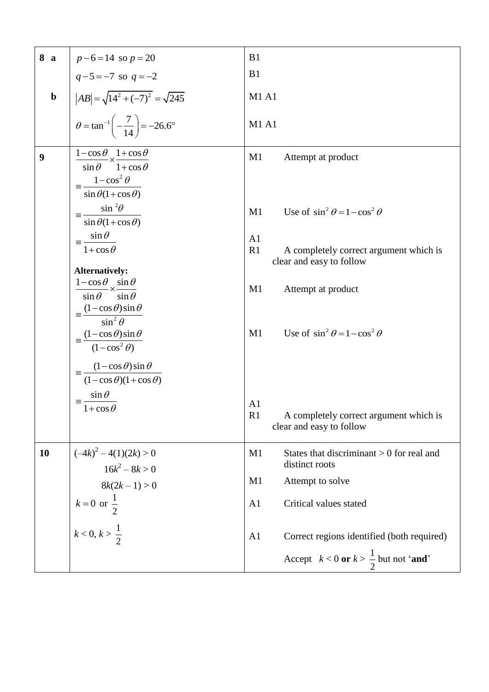| 8 a         | $p-6=14$ so $p=20$                                                                                 | B <sub>1</sub>                                                                             |
|-------------|----------------------------------------------------------------------------------------------------|--------------------------------------------------------------------------------------------|
|             | $q-5=-7$ so $q=-2$                                                                                 | B1                                                                                         |
| $\mathbf b$ | $ AB  = \sqrt{14^2 + (-7)^2} = \sqrt{245}$                                                         | <b>M1 A1</b>                                                                               |
|             | $heta = \tan^{-1}\left(-\frac{7}{14}\right) = -26.6^{\circ}$                                       | <b>M1 A1</b>                                                                               |
| 9           | $\frac{1-\cos\theta}{\times}\times\frac{1+\cos\theta}{\cos\theta}$<br>$\sin \theta$ 1+cos $\theta$ | M1<br>Attempt at product                                                                   |
|             | $1-\cos^2\theta$<br>$\sin \theta (1 + \cos \theta)$                                                |                                                                                            |
|             | $\sin^2\theta$<br>$\equiv$<br>$\sin \theta (1 + \cos \theta)$                                      | Use of $\sin^2 \theta = 1 - \cos^2 \theta$<br>M1                                           |
|             | $\equiv \frac{\sin \theta}{\sin \theta}$                                                           | A <sub>1</sub>                                                                             |
|             | $1 + \cos \theta$                                                                                  | R1<br>A completely correct argument which is<br>clear and easy to follow                   |
|             | Alternatively:                                                                                     |                                                                                            |
|             | $\frac{1-\cos\theta}{\sin\theta} \times \frac{\sin\theta}{\sin\theta}$                             | M1<br>Attempt at product                                                                   |
|             |                                                                                                    |                                                                                            |
|             | $=\frac{(1-\cos\theta)\sin\theta}{\sin^2\theta}$                                                   |                                                                                            |
|             |                                                                                                    | Use of $\sin^2 \theta = 1 - \cos^2 \theta$<br>M1                                           |
|             | $=\frac{(1-\cos\theta)\sin\theta}{(1-\cos^2\theta)}$                                               |                                                                                            |
|             | $= \frac{(1-\cos\theta)\sin\theta}{\sin\theta}$                                                    |                                                                                            |
|             | $(1-\cos\theta)(1+\cos\theta)$                                                                     |                                                                                            |
|             | $\sin \theta$<br>$\equiv -$                                                                        |                                                                                            |
|             | $1 + \cos \theta$                                                                                  | A <sub>1</sub><br>R1<br>A completely correct argument which is<br>clear and easy to follow |
| 10          | $(-4k)^2 - 4(1)(2k) > 0$<br>$16k^2 - 8k > 0$                                                       | M1<br>States that discriminant $> 0$ for real and<br>distinct roots                        |
|             | $8k(2k-1) > 0$                                                                                     | M1<br>Attempt to solve                                                                     |
|             |                                                                                                    |                                                                                            |
|             | $k = 0$ or $\frac{1}{2}$                                                                           | A <sub>1</sub><br>Critical values stated                                                   |
|             | $k < 0, k > \frac{1}{2}$                                                                           | Correct regions identified (both required)<br>A <sub>1</sub>                               |
|             |                                                                                                    | Accept $k < 0$ or $k > \frac{1}{2}$ but not 'and'                                          |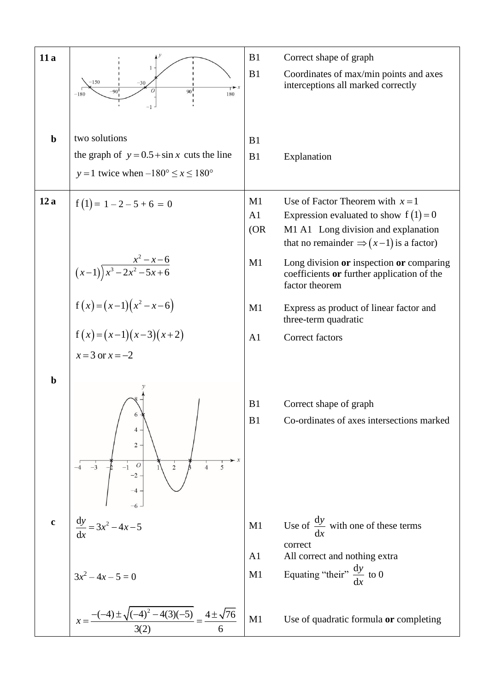| 11a         | $-150$<br>$-30$<br>$\overline{1}$ $\overline{1}$<br>90 <sup>1</sup><br>$-901$<br>180<br>$-180$                          | B1<br>B1             | Correct shape of graph<br>Coordinates of max/min points and axes<br>interceptions all marked correctly                                                                   |
|-------------|-------------------------------------------------------------------------------------------------------------------------|----------------------|--------------------------------------------------------------------------------------------------------------------------------------------------------------------------|
| $\mathbf b$ | two solutions<br>the graph of $y = 0.5 + \sin x$ cuts the line<br>y = 1 twice when $-180^{\circ} \le x \le 180^{\circ}$ | B1<br>B1             | Explanation                                                                                                                                                              |
| 12a         | $f(1) = 1 - 2 - 5 + 6 = 0$                                                                                              | M1<br>A1<br>(OR)     | Use of Factor Theorem with $x = 1$<br>Expression evaluated to show $f(1)=0$<br>M1 A1 Long division and explanation<br>that no remainder $\Rightarrow (x-1)$ is a factor) |
|             | $\frac{x^2 - x - 6}{(x-1)\overline{x^3 - 2x^2 - 5x + 6}}$                                                               | M1                   | Long division or inspection or comparing<br>coefficients or further application of the<br>factor theorem                                                                 |
|             | $f(x)=(x-1)(x^2-x-6)$                                                                                                   | M1                   | Express as product of linear factor and<br>three-term quadratic                                                                                                          |
|             | $f(x)=(x-1)(x-3)(x+2)$<br>$x=3$ or $x=-2$                                                                               | A <sub>1</sub>       | Correct factors                                                                                                                                                          |
| $\mathbf b$ | $2 -$<br>$\overline{c}$<br>5<br>$\overline{4}$                                                                          | B1<br>B1             | Correct shape of graph<br>Co-ordinates of axes intersections marked                                                                                                      |
| $\mathbf c$ | $\frac{\mathrm{d}y}{\mathrm{d}x} = 3x^2 - 4x - 5$                                                                       | M1                   | Use of $\frac{dy}{dx}$ with one of these terms<br>correct                                                                                                                |
|             | $3x^2 - 4x - 5 = 0$                                                                                                     | A <sub>1</sub><br>M1 | All correct and nothing extra<br>Equating "their" $\frac{dy}{dx}$ to 0                                                                                                   |
|             | $x = \frac{-(-4) \pm \sqrt{(-4)^2 - 4(3)(-5)}}{3(2)} = \frac{4 \pm \sqrt{76}}{6}$                                       | M1                   | Use of quadratic formula or completing                                                                                                                                   |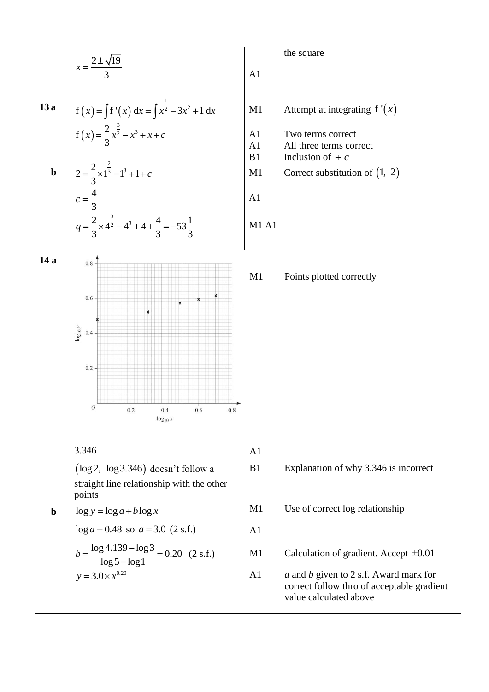|             | $x = \frac{2 \pm \sqrt{19}}{2}$                                                                                                                                                                                                                                                    | A1                                                                   | the square                                                                                                                                                                                                                               |
|-------------|------------------------------------------------------------------------------------------------------------------------------------------------------------------------------------------------------------------------------------------------------------------------------------|----------------------------------------------------------------------|------------------------------------------------------------------------------------------------------------------------------------------------------------------------------------------------------------------------------------------|
| 13a         |                                                                                                                                                                                                                                                                                    | M1                                                                   | Attempt at integrating $f'(x)$                                                                                                                                                                                                           |
| $\mathbf b$ | $f(x) = \int f'(x) dx = \int x^{\frac{1}{2}} -3x^2 + 1 dx$<br>$f(x) = \frac{2}{3}x^{\frac{3}{2}} - x^3 + x + c$                                                                                                                                                                    | A <sub>1</sub><br>A1<br>B1<br>M1                                     | Two terms correct<br>All three terms correct<br>Inclusion of $+ c$<br>Correct substitution of $(1, 2)$                                                                                                                                   |
|             |                                                                                                                                                                                                                                                                                    | A1                                                                   |                                                                                                                                                                                                                                          |
|             | $2 = \frac{2}{3} \times 1^{\frac{2}{3}} - 1^3 + 1 + c$<br>$c = \frac{4}{3}$<br>$q = \frac{2}{3} \times 4^{\frac{3}{2}} - 4^3 + 4 + \frac{4}{3} = -53\frac{1}{3}$                                                                                                                   | <b>M1 A1</b>                                                         |                                                                                                                                                                                                                                          |
| 14 a        | $0.8\,$<br>$0.6\,$<br>$\boldsymbol{\mathsf{x}}$<br>$\log_{10} y$<br>0.4<br>0.2<br>$\cal O$<br>$0.2\,$<br>$0.8\,$<br>0.4<br>0.6<br>$\log_{10} x$                                                                                                                                    | M1                                                                   | Points plotted correctly                                                                                                                                                                                                                 |
| $\mathbf b$ | 3.346<br>$(\log 2, \log 3.346)$ doesn't follow a<br>straight line relationship with the other<br>points<br>$\log y = \log a + b \log x$<br>$\log a = 0.48$ so $a = 3.0$ (2 s.f.)<br>$b = \frac{\log 4.139 - \log 3}{\log 5 - \log 1} = 0.20$ (2 s.f.)<br>$y = 3.0 \times x^{0.20}$ | A <sub>1</sub><br>B1<br>M1<br>A <sub>1</sub><br>M1<br>A <sub>1</sub> | Explanation of why 3.346 is incorrect<br>Use of correct log relationship<br>Calculation of gradient. Accept $\pm 0.01$<br>a and b given to 2 s.f. Award mark for<br>correct follow thro of acceptable gradient<br>value calculated above |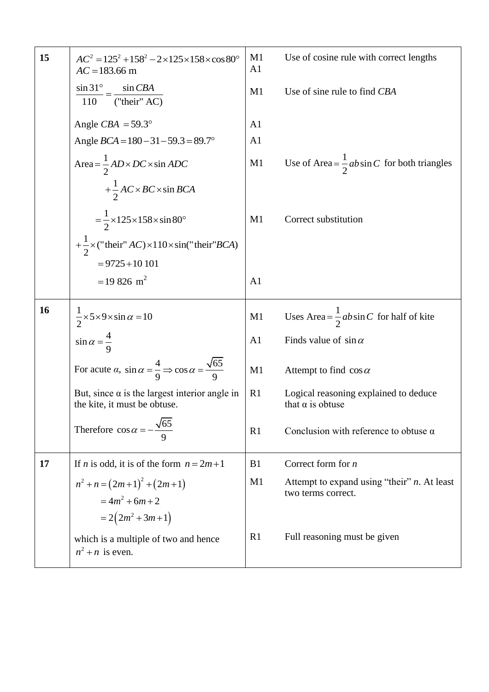| 15 | $AC^2 = 125^2 + 158^2 - 2 \times 125 \times 158 \times \cos 80^\circ$<br>$AC = 183.66$ m       | M <sub>1</sub><br>A <sub>1</sub> | Use of cosine rule with correct lengths                              |
|----|------------------------------------------------------------------------------------------------|----------------------------------|----------------------------------------------------------------------|
|    | $\sin 31^\circ$ = $\sin CBA$<br>$110$ ("their" AC)                                             | M <sub>1</sub>                   | Use of sine rule to find CBA                                         |
|    | Angle $CBA = 59.3^{\circ}$                                                                     | A <sub>1</sub>                   |                                                                      |
|    | Angle $BCA = 180 - 31 - 59.3 = 89.7^{\circ}$                                                   | A <sub>1</sub>                   |                                                                      |
|    | Area = $\frac{1}{2}$ AD × DC × sin ADC                                                         | M1                               | Use of Area = $\frac{1}{2}$ ab sin C for both triangles              |
|    | $+\frac{1}{2}AC \times BC \times \sin BCA$                                                     |                                  |                                                                      |
|    | $=\frac{1}{2}\times125\times158\times\sin 80^{\circ}$                                          | M1                               | Correct substitution                                                 |
|    | + $\frac{1}{2}$ x ("their" AC) × 110 × sin("their" BCA)                                        |                                  |                                                                      |
|    | $= 9725 + 10101$                                                                               |                                  |                                                                      |
|    | $= 19826$ m <sup>2</sup>                                                                       | A <sub>1</sub>                   |                                                                      |
| 16 | $\frac{1}{2} \times 5 \times 9 \times \sin \alpha = 10$                                        | M1                               | Uses Area = $\frac{1}{2}$ ab sin C for half of kite                  |
|    | $\sin \alpha = \frac{4}{9}$                                                                    | A <sub>1</sub>                   | Finds value of $\sin \alpha$                                         |
|    | For acute $\alpha$ , $\sin \alpha = \frac{4}{9} \Rightarrow \cos \alpha = \frac{\sqrt{65}}{9}$ | M1                               | Attempt to find $\cos \alpha$                                        |
|    | But, since $\alpha$ is the largest interior angle in<br>the kite, it must be obtuse.           | R1                               | Logical reasoning explained to deduce<br>that $\alpha$ is obtuse     |
|    | Therefore $\cos \alpha = -\frac{\sqrt{65}}{9}$                                                 | R <sub>1</sub>                   | Conclusion with reference to obtuse $\alpha$                         |
| 17 | If <i>n</i> is odd, it is of the form $n = 2m+1$                                               | B1                               | Correct form for $n$                                                 |
|    | $n^2 + n = (2m+1)^2 + (2m+1)$<br>$=4m^2+6m+2$                                                  | M1                               | Attempt to expand using "their" $n$ . At least<br>two terms correct. |
|    | $=2(2m^2+3m+1)$                                                                                |                                  |                                                                      |
|    | which is a multiple of two and hence<br>$n^2 + n$ is even.                                     | R <sub>1</sub>                   | Full reasoning must be given                                         |